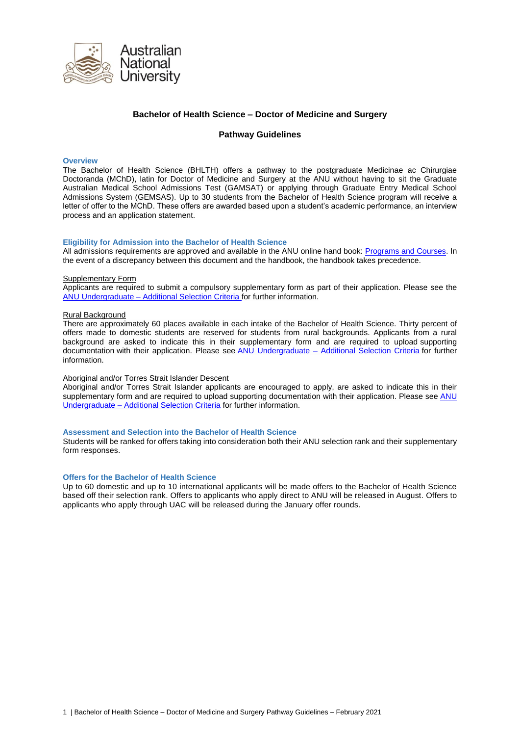

# **Bachelor of Health Science – Doctor of Medicine and Surgery**

### **Pathway Guidelines**

#### **Overview**

The Bachelor of Health Science (BHLTH) offers a pathway to the postgraduate Medicinae ac Chirurgiae Doctoranda (MChD), latin for Doctor of Medicine and Surgery at the ANU without having to sit the Graduate Australian Medical School Admissions Test (GAMSAT) or applying through Graduate Entry Medical School Admissions System (GEMSAS). Up to 30 students from the Bachelor of Health Science program will receive a letter of offer to the MChD. These offers are awarded based upon a student's academic performance, an interview process and an application statement.

### **Eligibility for Admission into the Bachelor of Health Science**

All admissions requirements are approved and available in the ANU online hand book: [Programs and Courses.](https://programsandcourses.anu.edu.au/2020/program/BHLTH) In the event of a discrepancy between this document and the handbook, the handbook takes precedence.

#### Supplementary Form

Applicants are required to submit a compulsory supplementary form as part of their application. Please see the ANU Undergraduate – [Additional Selection Criteria](file://///mhsdata.anu.edu.au/mhs/workgroups/anums/Admissions/Procedures%20and%20Guidelines/Pathway%20Program%20Guidelines/There%20are%20approximately%2060%20places%20available%20in%20each%20intake%20of%20the%20Bachelor%20of%20Health%20Science.%20Thirty%20percent%20of%20offers%20made%20to%20domestic%20students%20are%20reserved%20for%20students%20from%20rural%20backgrounds.%20Applicants%20from%20a%20rural%20background%20are%20asked%20to%20indicate%20this%20in%20their%20supplementary%20form%20and%20are%20required%20to%20upload%20supporting%20documentation%20with%20their%20application.%20Please%20attach%20this%20documentation%20when%20submitting%20your%20application%20for%20admission.%20See%20ANU%20Undergraduate%20–%20Additional%20Selection%20Criteria%20for%20further%20information.%20for%20further%20information.) for further information.

#### Rural Background

There are approximately 60 places available in each intake of the Bachelor of Health Science. Thirty percent of offers made to domestic students are reserved for students from rural backgrounds. Applicants from a rural background are asked to indicate this in their supplementary form and are required to upload supporting documentation with their application. Please see ANU Undergraduate – [Additional Selection Criteria](There%20are%20approximately%2060%20places%20available%20in%20each%20intake%20of%20the%20Bachelor%20of%20Health%20Science.%20Thirty%20percent%20of%20offers%20made%20to%20domestic%20students%20are%20reserved%20for%20students%20from%20rural%20backgrounds.%20Applicants%20from%20a%20rural%20background%20are%20asked%20to%20indicate%20this%20in%20their%20supplementary%20form%20and%20are%20required%20to%20upload%20supporting%20documentation%20with%20their%20application.%20Please%20attach%20this%20documentation%20when%20submitting%20your%20application%20for%20admission.%20See%20ANU%20Undergraduate%20–%20Additional%20Selection%20Criteria%20for%20further%20information.%20for%20further%20information.) for further information.

### Aboriginal and/or Torres Strait Islander Descent

Aboriginal and/or Torres Strait Islander applicants are encouraged to apply, are asked to indicate this in their supplementary form and are required to upload supporting documentation with their application. Please see ANU Undergraduate – [Additional Selection](https://www.anu.edu.au/study/apply/domestic-applications-anu-undergraduate/anu-programs-additional-selection-criteria) Criteria for further information.

#### **Assessment and Selection into the Bachelor of Health Science**

Students will be ranked for offers taking into consideration both their ANU selection rank and their supplementary form responses.

#### **Offers for the Bachelor of Health Science**

Up to 60 domestic and up to 10 international applicants will be made offers to the Bachelor of Health Science based off their selection rank. Offers to applicants who apply direct to ANU will be released in August. Offers to applicants who apply through UAC will be released during the January offer rounds.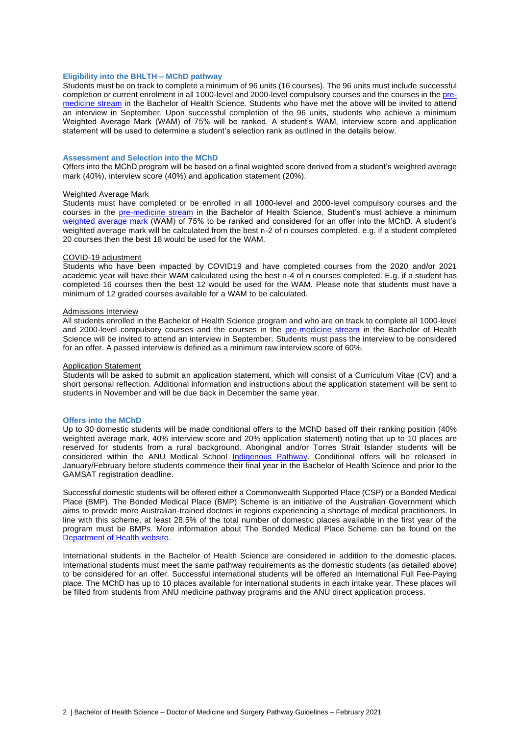### **Eligibility into the BHLTH – MChD pathway**

Students must be on track to complete a minimum of 96 units (16 courses). The 96 units must include successful completion or current enrolment in all 1000-level and 2000-level compulsory courses and the courses in the [pre](https://programsandcourses.anu.edu.au/program/BHLTH#program-requirements)[medicine stream](https://programsandcourses.anu.edu.au/program/BHLTH#program-requirements) in the Bachelor of Health Science. Students who have met the above will be invited to attend an interview in September. Upon successful completion of the 96 units, students who achieve a minimum Weighted Average Mark (WAM) of 75% will be ranked. A student's WAM, interview score and application statement will be used to determine a student's selection rank as outlined in the details below.

#### **Assessment and Selection into the MChD**

Offers into the MChD program will be based on a final weighted score derived from a student's weighted average mark (40%), interview score (40%) and application statement (20%).

#### Weighted Average Mark

Students must have completed or be enrolled in all 1000-level and 2000-level compulsory courses and the courses in the [pre-medicine stream](https://programsandcourses.anu.edu.au/program/BHLTH#program-requirements) in the Bachelor of Health Science. Student's must achieve a minimum [weighted average mark](https://policies.anu.edu.au/ppl/document/ANUP_004603) (WAM) of 75% to be ranked and considered for an offer into the MChD. A student's weighted average mark will be calculated from the best n-2 of n courses completed. e.g. if a student completed 20 courses then the best 18 would be used for the WAM.

#### COVID-19 adjustment

Students who have been impacted by COVID19 and have completed courses from the 2020 and/or 2021 academic year will have their WAM calculated using the best n-4 of n courses completed. E.g. if a student has completed 16 courses then the best 12 would be used for the WAM. Please note that students must have a minimum of 12 graded courses available for a WAM to be calculated.

#### Admissions Interview

All students enrolled in the Bachelor of Health Science program and who are on track to complete all 1000-level and 2000-level compulsory courses and the courses in the [pre-medicine stream](https://programsandcourses.anu.edu.au/program/BHLTH#program-requirements) in the Bachelor of Health Science will be invited to attend an interview in September. Students must pass the interview to be considered for an offer. A passed interview is defined as a minimum raw interview score of 60%.

#### Application Statement

Students will be asked to submit an application statement, which will consist of a Curriculum Vitae (CV) and a short personal reflection. Additional information and instructions about the application statement will be sent to students in November and will be due back in December the same year.

#### **Offers into the MChD**

Up to 30 domestic students will be made conditional offers to the MChD based off their ranking position (40% weighted average mark, 40% interview score and 20% application statement) noting that up to 10 places are reserved for students from a rural background. Aboriginal and/or Torres Strait Islander students will be considered within the ANU Medical School [Indigenous Pathway.](https://health.anu.edu.au/study/doctor-medicine-and-surgery) Conditional offers will be released in January/February before students commence their final year in the Bachelor of Health Science and prior to the GAMSAT registration deadline.

Successful domestic students will be offered either a Commonwealth Supported Place (CSP) or a Bonded Medical Place (BMP). The Bonded Medical Place (BMP) Scheme is an initiative of the Australian Government which aims to provide more Australian-trained doctors in regions experiencing a shortage of medical practitioners. In line with this scheme, at least 28.5% of the total number of domestic places available in the first year of the program must be BMPs. More information about The Bonded Medical Place Scheme can be found on the [Department of Health website.](https://www1.health.gov.au/internet/main/publishing.nsf/Content/work-st-bmp?Open=&utm_source=health.gov.au&utm_medium=redirect&utm_campaign=digital_transformation&utm_content=bmpscheme) 

International students in the Bachelor of Health Science are considered in addition to the domestic places. International students must meet the same pathway requirements as the domestic students (as detailed above) to be considered for an offer. Successful international students will be offered an International Full Fee-Paying place. The MChD has up to 10 places available for international students in each intake year. These places will be filled from students from ANU medicine pathway programs and the ANU direct application process.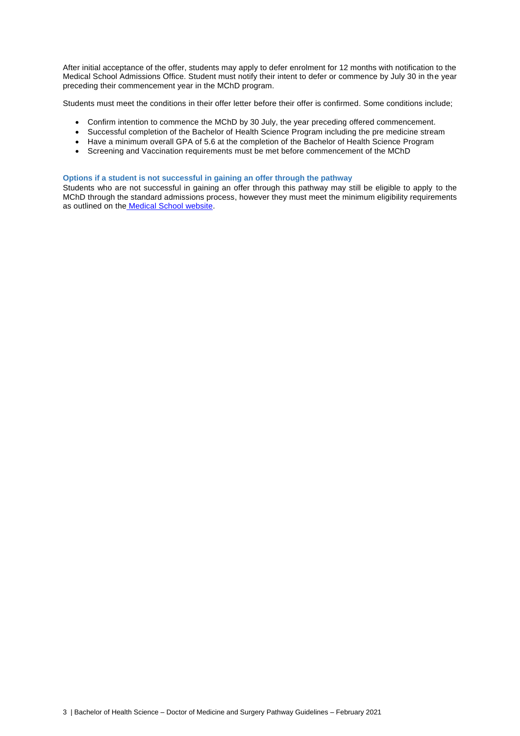After initial acceptance of the offer, students may apply to defer enrolment for 12 months with notification to the Medical School Admissions Office. Student must notify their intent to defer or commence by July 30 in the year preceding their commencement year in the MChD program.

Students must meet the conditions in their offer letter before their offer is confirmed. Some conditions include;

- Confirm intention to commence the MChD by 30 July, the year preceding offered commencement.
- Successful completion of the Bachelor of Health Science Program including the pre medicine stream
- Have a minimum overall GPA of 5.6 at the completion of the Bachelor of Health Science Program
- Screening and Vaccination requirements must be met before commencement of the MChD

## **Options if a student is not successful in gaining an offer through the pathway**

Students who are not successful in gaining an offer through this pathway may still be eligible to apply to the MChD through the standard admissions process, however they must meet the minimum eligibility requirements as outlined on the [Medical School website.](https://health.anu.edu.au/study/doctor-medicine-and-surgery)